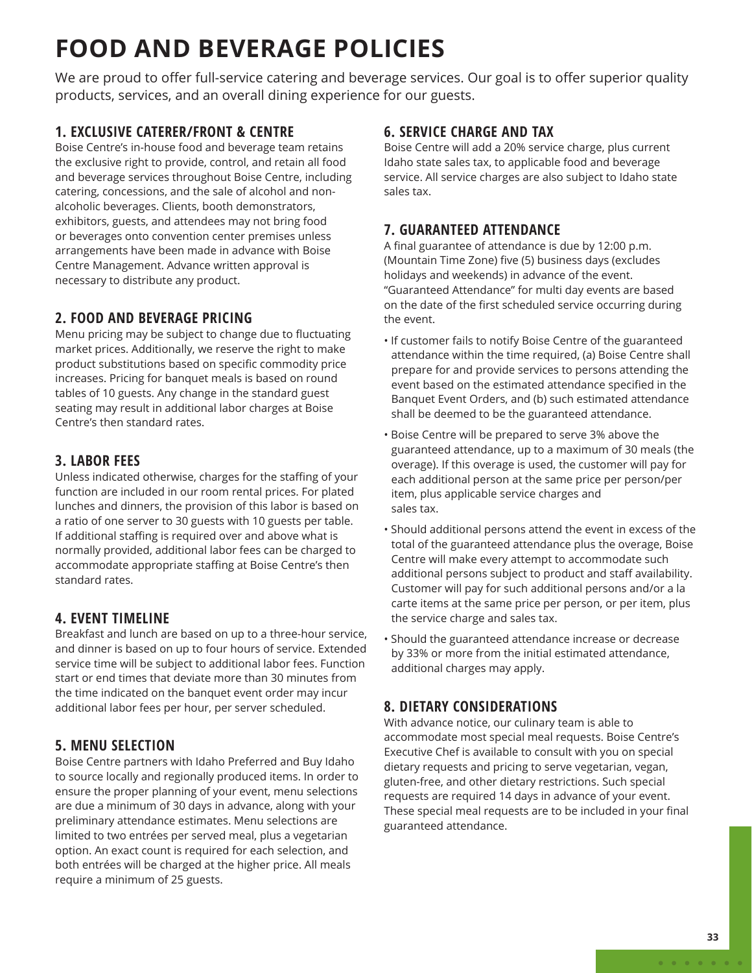# **FOOD AND BEVERAGE POLICIES**

We are proud to offer full-service catering and beverage services. Our goal is to offer superior quality products, services, and an overall dining experience for our guests.

#### **1. EXCLUSIVE CATERER/FRONT & CENTRE**

Boise Centre's in-house food and beverage team retains the exclusive right to provide, control, and retain all food and beverage services throughout Boise Centre, including catering, concessions, and the sale of alcohol and nonalcoholic beverages. Clients, booth demonstrators, exhibitors, guests, and attendees may not bring food or beverages onto convention center premises unless arrangements have been made in advance with Boise Centre Management. Advance written approval is necessary to distribute any product.

#### **2. FOOD AND BEVERAGE PRICING**

Menu pricing may be subject to change due to fluctuating market prices. Additionally, we reserve the right to make product substitutions based on specific commodity price increases. Pricing for banquet meals is based on round tables of 10 guests. Any change in the standard guest seating may result in additional labor charges at Boise Centre's then standard rates.

## **3. LABOR FEES**

Unless indicated otherwise, charges for the staffing of your function are included in our room rental prices. For plated lunches and dinners, the provision of this labor is based on a ratio of one server to 30 guests with 10 guests per table. If additional staffing is required over and above what is normally provided, additional labor fees can be charged to accommodate appropriate staffing at Boise Centre's then standard rates.

## **4. EVENT TIMELINE**

Breakfast and lunch are based on up to a three-hour service, and dinner is based on up to four hours of service. Extended service time will be subject to additional labor fees. Function start or end times that deviate more than 30 minutes from the time indicated on the banquet event order may incur additional labor fees per hour, per server scheduled.

## **5. MENU SELECTION**

Boise Centre partners with Idaho Preferred and Buy Idaho to source locally and regionally produced items. In order to ensure the proper planning of your event, menu selections are due a minimum of 30 days in advance, along with your preliminary attendance estimates. Menu selections are limited to two entrées per served meal, plus a vegetarian option. An exact count is required for each selection, and both entrées will be charged at the higher price. All meals require a minimum of 25 guests.

#### **6. SERVICE CHARGE AND TAX**

Boise Centre will add a 20% service charge, plus current Idaho state sales tax, to applicable food and beverage service. All service charges are also subject to Idaho state sales tax.

## **7. GUARANTEED ATTENDANCE**

A final guarantee of attendance is due by 12:00 p.m. (Mountain Time Zone) five (5) business days (excludes holidays and weekends) in advance of the event. "Guaranteed Attendance" for multi day events are based on the date of the first scheduled service occurring during the event.

- If customer fails to notify Boise Centre of the guaranteed attendance within the time required, (a) Boise Centre shall prepare for and provide services to persons attending the event based on the estimated attendance specified in the Banquet Event Orders, and (b) such estimated attendance shall be deemed to be the guaranteed attendance.
- Boise Centre will be prepared to serve 3% above the guaranteed attendance, up to a maximum of 30 meals (the overage). If this overage is used, the customer will pay for each additional person at the same price per person/per item, plus applicable service charges and sales tax.
- Should additional persons attend the event in excess of the total of the guaranteed attendance plus the overage, Boise Centre will make every attempt to accommodate such additional persons subject to product and staff availability. Customer will pay for such additional persons and/or a la carte items at the same price per person, or per item, plus the service charge and sales tax.
- Should the guaranteed attendance increase or decrease by 33% or more from the initial estimated attendance, additional charges may apply.

## **8. DIETARY CONSIDERATIONS**

With advance notice, our culinary team is able to accommodate most special meal requests. Boise Centre's Executive Chef is available to consult with you on special dietary requests and pricing to serve vegetarian, vegan, gluten-free, and other dietary restrictions. Such special requests are required 14 days in advance of your event. These special meal requests are to be included in your final guaranteed attendance.

 $\begin{array}{cccccccccccccc} \bullet & \bullet & \bullet & \bullet & \bullet & \bullet & \bullet & \bullet & \bullet \end{array}$